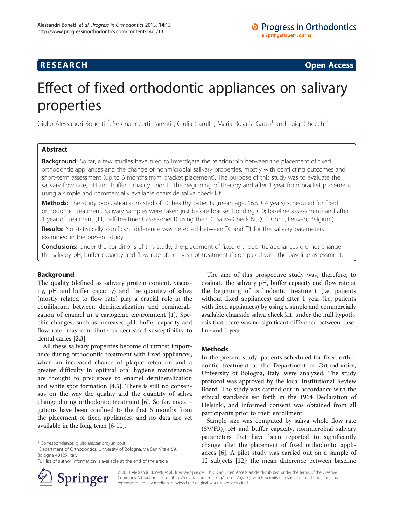# **RESEARCH CHINESE ARCH CHINESE ARCH CHINESE ARCH <b>CHINESE ARCH**

# Effect of fixed orthodontic appliances on salivary properties

Giulio Alessandri Bonetti<sup>1\*</sup>, Serena Incerti Parenti<sup>1</sup>, Giulia Garulli<sup>1</sup>, Maria Rosaria Gatto<sup>1</sup> and Luigi Checchi<sup>2</sup>

# Abstract

Background: So far, a few studies have tried to investigate the relationship between the placement of fixed orthodontic appliances and the change of nonmicrobial salivary properties, mostly with conflicting outcomes and short-term assessment (up to 6 months from bracket placement). The purpose of this study was to evaluate the salivary flow rate, pH and buffer capacity prior to the beginning of therapy and after 1 year from bracket placement using a simple and commercially available chairside saliva check kit.

Methods: The study population consisted of 20 healthy patients (mean age, 16.5 ± 4 years) scheduled for fixed orthodontic treatment. Salivary samples were taken just before bracket bonding (T0; baseline assessment) and after 1 year of treatment (T1; half-treatment assessment) using the GC Saliva-Check Kit (GC Corp., Leuven, Belgium).

Results: No statistically significant difference was detected between T0 and T1 for the salivary parameters examined in the present study.

**Conclusions:** Under the conditions of this study, the placement of fixed orthodontic appliances did not change the salivary pH, buffer capacity and flow rate after 1 year of treatment if compared with the baseline assessment.

# Background

The quality (defined as salivary protein content, viscosity, pH and buffer capacity) and the quantity of saliva (mostly related to flow rate) play a crucial role in the equilibrium between demineralization and remineralization of enamel in a cariogenic environment [[1\]](#page-3-0). Specific changes, such as increased pH, buffer capacity and flow rate, may contribute to decreased susceptibility to dental caries [\[2,3](#page-3-0)].

All these salivary properties become of utmost importance during orthodontic treatment with fixed appliances, when an increased chance of plaque retention and a greater difficulty in optimal oral hygiene maintenance are thought to predispose to enamel demineralization and white spot formation [\[4](#page-3-0),[5](#page-3-0)]. There is still no consensus on the way the quality and the quantity of saliva change during orthodontic treatment [\[6](#page-3-0)]. So far, investigations have been confined to the first 6 months from the placement of fixed appliances, and no data are yet available in the long term [\[6](#page-3-0)-[11\]](#page-3-0).

Full list of author information is available at the end of the article



The aim of this prospective study was, therefore, to evaluate the salivary pH, buffer capacity and flow rate at the beginning of orthodontic treatment (i.e. patients without fixed appliances) and after 1 year (i.e. patients with fixed appliances) by using a simple and commercially available chairside saliva check kit, under the null hypothesis that there was no significant difference between baseline and 1 year.

# Methods

In the present study, patients scheduled for fixed orthodontic treatment at the Department of Orthodontics, University of Bologna, Italy, were analyzed. The study protocol was approved by the local Institutional Review Board. The study was carried out in accordance with the ethical standards set forth in the 1964 Declaration of Helsinki, and informed consent was obtained from all participants prior to their enrollment.

Sample size was computed by saliva whole flow rate (SWFR), pH and buffer capacity, nonmicrobial salivary parameters that have been reported to significantly change after the placement of fixed orthodontic appliances [\[6\]](#page-3-0). A pilot study was carried out on a sample of 12 subjects [\[12](#page-3-0)]; the mean difference between baseline

© 2013 Alessandri Bonetti et al.; licensee Springer. This is an Open Access article distributed under the terms of the Creative Commons Attribution License (<http://creativecommons.org/licenses/by/2.0>), which permits unrestricted use, distribution, and reproduction in any medium, provided the original work is properly cited.

<sup>\*</sup> Correspondence: [giulio.alessandri@unibo.it](mailto:giulio.alessandri@unibo.it) <sup>1</sup>

<sup>&</sup>lt;sup>1</sup>Department of Orthodontics, University of Bologna, via San Vitale 59, Bologna 40125, Italy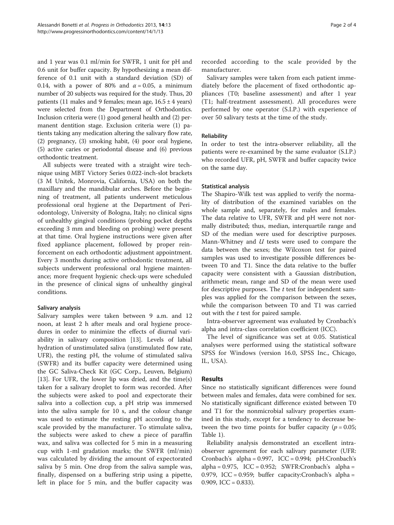and 1 year was 0.1 ml/min for SWFR, 1 unit for pH and 0.6 unit for buffer capacity. By hypothesizing a mean difference of 0.1 unit with a standard deviation (SD) of 0.14, with a power of 80% and  $\alpha = 0.05$ , a minimum number of 20 subjects was required for the study. Thus, 20 patients (11 males and 9 females; mean age,  $16.5 \pm 4$  years) were selected from the Department of Orthodontics. Inclusion criteria were (1) good general health and (2) permanent dentition stage. Exclusion criteria were (1) patients taking any medication altering the salivary flow rate, (2) pregnancy, (3) smoking habit, (4) poor oral hygiene, (5) active caries or periodontal disease and (6) previous orthodontic treatment.

All subjects were treated with a straight wire technique using MBT Victory Series 0.022-inch-slot brackets (3 M Unitek, Monrovia, California, USA) on both the maxillary and the mandibular arches. Before the beginning of treatment, all patients underwent meticulous professional oral hygiene at the Department of Periodontology, University of Bologna, Italy; no clinical signs of unhealthy gingival conditions (probing pocket depths exceeding 3 mm and bleeding on probing) were present at that time. Oral hygiene instructions were given after fixed appliance placement, followed by proper reinforcement on each orthodontic adjustment appointment. Every 3 months during active orthodontic treatment, all subjects underwent professional oral hygiene maintenance; more frequent hygienic check-ups were scheduled in the presence of clinical signs of unhealthy gingival conditions.

# Salivary analysis

Salivary samples were taken between 9 a.m. and 12 noon, at least 2 h after meals and oral hygiene procedures in order to minimize the effects of diurnal variability in salivary composition [\[13](#page-3-0)]. Levels of labial hydration of unstimulated saliva (unstimulated flow rate, UFR), the resting pH, the volume of stimulated saliva (SWFR) and its buffer capacity were determined using the GC Saliva-Check Kit (GC Corp., Leuven, Belgium) [[13\]](#page-3-0). For UFR, the lower lip was dried, and the time(s) taken for a salivary droplet to form was recorded. After the subjects were asked to pool and expectorate their saliva into a collection cup, a pH strip was immersed into the saliva sample for 10 s, and the colour change was used to estimate the resting pH according to the scale provided by the manufacturer. To stimulate saliva, the subjects were asked to chew a piece of paraffin wax, and saliva was collected for 5 min in a measuring cup with 1-ml gradation marks; the SWFR (ml/min) was calculated by dividing the amount of expectorated saliva by 5 min. One drop from the saliva sample was, finally, dispensed on a buffering strip using a pipette, left in place for 5 min, and the buffer capacity was recorded according to the scale provided by the manufacturer.

Salivary samples were taken from each patient immediately before the placement of fixed orthodontic appliances (T0; baseline assessment) and after 1 year (T1; half-treatment assessment). All procedures were performed by one operator (S.I.P.) with experience of over 50 salivary tests at the time of the study.

# Reliability

In order to test the intra-observer reliability, all the patients were re-examined by the same evaluator (S.I.P.) who recorded UFR, pH, SWFR and buffer capacity twice on the same day.

### Statistical analysis

The Shapiro-Wilk test was applied to verify the normality of distribution of the examined variables on the whole sample and, separately, for males and females. The data relative to UFR, SWFR and pH were not normally distributed; thus, median, interquartile range and SD of the median were used for descriptive purposes. Mann-Whitney and  $U$  tests were used to compare the data between the sexes; the Wilcoxon test for paired samples was used to investigate possible differences between T0 and T1. Since the data relative to the buffer capacity were consistent with a Gaussian distribution, arithmetic mean, range and SD of the mean were used for descriptive purposes. The  $t$  test for independent samples was applied for the comparison between the sexes, while the comparison between T0 and T1 was carried out with the  $t$  test for paired sample.

Intra-observer agreement was evaluated by Cronbach's alpha and intra-class correlation coefficient (ICC).

The level of significance was set at 0.05. Statistical analyses were performed using the statistical software SPSS for Windows (version 16.0, SPSS Inc., Chicago, IL, USA).

# Results

Since no statistically significant differences were found between males and females, data were combined for sex. No statistically significant difference existed between T0 and T1 for the nonmicrobial salivary properties examined in this study, except for a tendency to decrease between the two time points for buffer capacity ( $p = 0.05$ ; Table [1\)](#page-2-0).

Reliability analysis demonstrated an excellent intraobserver agreement for each salivary parameter (UFR: Cronbach's  $alpha = 0.997$ , ICC = 0.994; pH:Cronbach's  $alpha = 0.975$ ,  $ICC = 0.952$ ; SWFR:Cronbach's alpha = 0.979, ICC = 0.959; buffer capacity:Cronbach's alpha = 0.909, ICC =  $0.833$ ).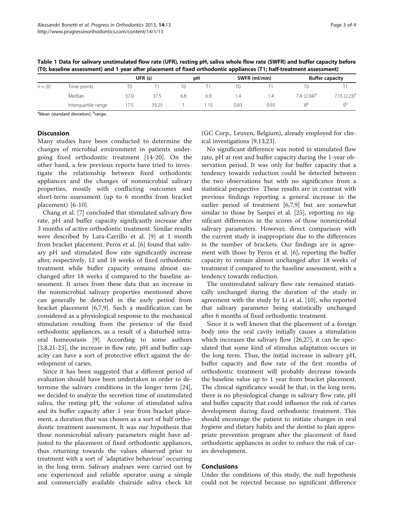| $n = 20$ | Time points         | UFR (s) |       | рH  |     | SWFR (ml/min) |      | <b>Buffer capacity</b> |                |
|----------|---------------------|---------|-------|-----|-----|---------------|------|------------------------|----------------|
|          |                     |         |       |     |     | T0            |      |                        |                |
|          | Median              | 37.0    | 37.5  | 6.8 | 6.9 | . 4           | ۰.4  | 7.4 $(2.04)^a$         | $7.15(2.23)^a$ |
|          | Interquartile range | 17.5    | 39.25 |     |     | 0.83          | 0.93 |                        | αP             |

<span id="page-2-0"></span>Table 1 Data for salivary unstimulated flow rate (UFR), resting pH, saliva whole flow rate (SWFR) and buffer capacity before (T0; baseline assessment) and 1 year after placement of fixed orthodontic appliances (T1; half-treatment assessment)

<sup>a</sup>Mean (standard deviation); <sup>b</sup>range.

# **Discussion**

Many studies have been conducted to determine the changes of microbial environment in patients undergoing fixed orthodontic treatment [\[14](#page-3-0)-[20\]](#page-3-0). On the other hand, a few previous reports have tried to investigate the relationship between fixed orthodontic appliances and the changes of nonmicrobial salivary properties, mostly with conflicting outcomes and short-term assessment (up to 6 months from bracket placement) [[6-10](#page-3-0)].

Chang et al. [[7](#page-3-0)] concluded that stimulated salivary flow rate, pH and buffer capacity significantly increase after 3 months of active orthodontic treatment. Similar results were described by Lara-Carrillo et al. [[9](#page-3-0)] at 1 month from bracket placement. Peros et al. [[6\]](#page-3-0) found that salivary pH and stimulated flow rate significantly increase after, respectively, 12 and 18 weeks of fixed orthodontic treatment while buffer capacity remains almost unchanged after 18 weeks if compared to the baseline assessment. It arises from these data that an increase in the nonmicrobial salivary properties mentioned above can generally be detected in the early period from bracket placement [[6,7,9\]](#page-3-0). Such a modification can be considered as a physiological response to the mechanical stimulation resulting from the presence of the fixed orthodontic appliances, as a result of a disturbed intraoral homeostasis [[9\]](#page-3-0). According to some authors [[3,8,21-23](#page-3-0)], the increase in flow rate, pH and buffer capacity can have a sort of protective effect against the development of caries.

Since it has been suggested that a different period of evaluation should have been undertaken in order to determine the salivary conditions in the longer term [\[24](#page-3-0)], we decided to analyze the secretion time of unstimulated saliva, the resting pH, the volume of stimulated saliva and its buffer capacity after 1 year from bracket placement, a duration that was chosen as a sort of half orthodontic treatment assessment. It was our hypothesis that those nonmicrobial salivary parameters might have adjusted to the placement of fixed orthodontic appliances, thus returning towards the values observed prior to treatment with a sort of 'adaptative behaviour' occurring in the long term. Salivary analyses were carried out by one experienced and reliable operator using a simple and commercially available chairside saliva check kit (GC Corp., Leuven, Belgium), already employed for clinical investigations [\[9,13,23](#page-3-0)].

No significant difference was noted in stimulated flow rate, pH at rest and buffer capacity during the 1-year observation period. It was only for buffer capacity that a tendency towards reduction could be detected between the two observations but with no significance from a statistical perspective. These results are in contrast with previous findings reporting a general increase in the earlier period of treatment [\[6,7,9](#page-3-0)] but are somewhat similar to those by Sanpei et al. [[25\]](#page-3-0), reporting no significant differences in the scores of those nonmicrobial salivary parameters. However, direct comparison with the current study is inappropriate due to the differences in the number of brackets. Our findings are in agreement with those by Peros et al. [[6](#page-3-0)], reporting the buffer capacity to remain almost unchanged after 18 weeks of treatment if compared to the baseline assessment, with a tendency towards reduction.

The unstimulated salivary flow rate remained statistically unchanged during the duration of the study in agreement with the study by Li et al. [[10](#page-3-0)], who reported that salivary parameter being statistically unchanged after 6 months of fixed orthodontic treatment.

Since it is well known that the placement of a foreign body into the oral cavity initially causes a stimulation which increases the salivary flow [[26,27\]](#page-3-0), it can be speculated that some kind of stimulus adaptation occurs in the long term. Thus, the initial increase in salivary pH, buffer capacity and flow rate of the first months of orthodontic treatment will probably decrease towards the baseline value up to 1 year from bracket placement. The clinical significance would be that, in the long term, there is no physiological change in salivary flow rate, pH and buffer capacity that could influence the risk of caries development during fixed orthodontic treatment. This should encourage the patient to initiate changes in oral hygiene and dietary habits and the dentist to plan appropriate prevention program after the placement of fixed orthodontic appliances in order to reduce the risk of caries development.

#### Conclusions

Under the conditions of this study, the null hypothesis could not be rejected because no significant difference